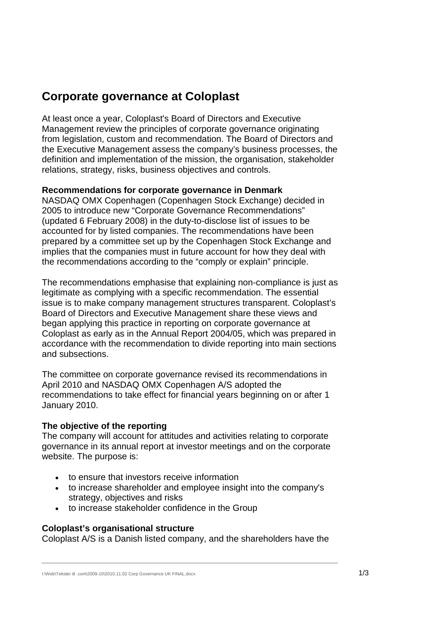# **Corporate governance at Coloplast**

At least once a year, Coloplast's Board of Directors and Executive Management review the principles of corporate governance originating from legislation, custom and recommendation. The Board of Directors and the Executive Management assess the company's business processes, the definition and implementation of the mission, the organisation, stakeholder relations, strategy, risks, business objectives and controls.

### **Recommendations for corporate governance in Denmark**

NASDAQ OMX Copenhagen (Copenhagen Stock Exchange) decided in 2005 to introduce new "Corporate Governance Recommendations" (updated 6 February 2008) in the duty-to-disclose list of issues to be accounted for by listed companies. The recommendations have been prepared by a committee set up by the Copenhagen Stock Exchange and implies that the companies must in future account for how they deal with the recommendations according to the "comply or explain" principle.

The recommendations emphasise that explaining non-compliance is just as legitimate as complying with a specific recommendation. The essential issue is to make company management structures transparent. Coloplast's Board of Directors and Executive Management share these views and began applying this practice in reporting on corporate governance at Coloplast as early as in the Annual Report 2004/05, which was prepared in accordance with the recommendation to divide reporting into main sections and subsections.

The committee on corporate governance revised its recommendations in April 2010 and NASDAQ OMX Copenhagen A/S adopted the recommendations to take effect for financial years beginning on or after 1 January 2010.

# **The objective of the reporting**

The company will account for attitudes and activities relating to corporate governance in its annual report at investor meetings and on the corporate website. The purpose is:

- to ensure that investors receive information
- to increase shareholder and employee insight into the company's strategy, objectives and risks
- to increase stakeholder confidence in the Group

### **Coloplast's organisational structure**

Coloplast A/S is a Danish listed company, and the shareholders have the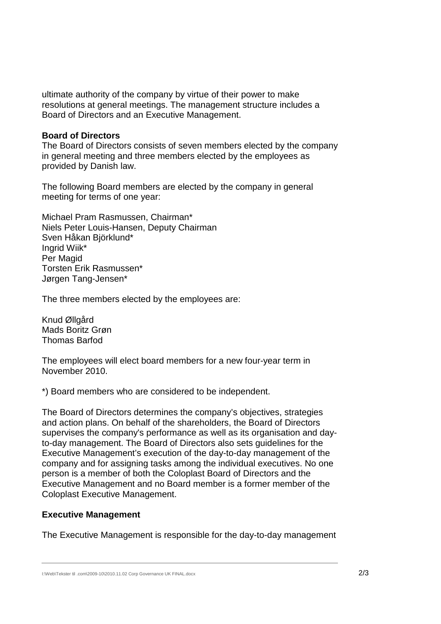ultimate authority of the company by virtue of their power to make resolutions at general meetings. The management structure includes a Board of Directors and an Executive Management.

#### **Board of Directors**

The Board of Directors consists of seven members elected by the company in general meeting and three members elected by the employees as provided by Danish law.

The following Board members are elected by the company in general meeting for terms of one year:

Michael Pram Rasmussen, Chairman\* Niels Peter Louis-Hansen, Deputy Chairman Sven Håkan Björklund\* Ingrid Wiik\* Per Magid Torsten Erik Rasmussen\* Jørgen Tang-Jensen\*

The three members elected by the employees are:

Knud Øllgård Mads Boritz Grøn Thomas Barfod

The employees will elect board members for a new four-year term in November 2010.

\*) Board members who are considered to be independent.

The Board of Directors determines the company's objectives, strategies and action plans. On behalf of the shareholders, the Board of Directors supervises the company's performance as well as its organisation and dayto-day management. The Board of Directors also sets guidelines for the Executive Management's execution of the day-to-day management of the company and for assigning tasks among the individual executives. No one person is a member of both the Coloplast Board of Directors and the Executive Management and no Board member is a former member of the Coloplast Executive Management.

### **Executive Management**

The Executive Management is responsible for the day-to-day management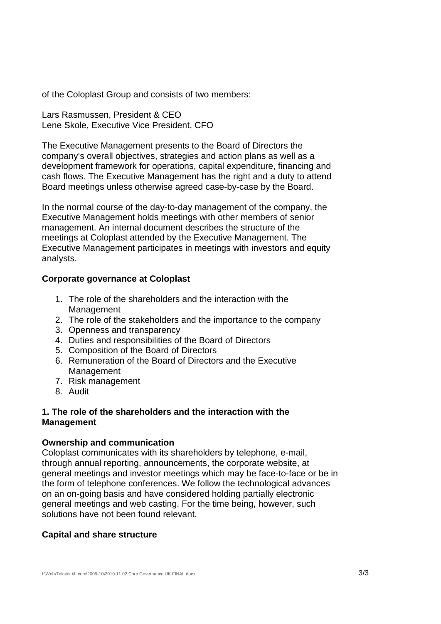of the Coloplast Group and consists of two members:

Lars Rasmussen, President & CEO Lene Skole, Executive Vice President, CFO

The Executive Management presents to the Board of Directors the company's overall objectives, strategies and action plans as well as a development framework for operations, capital expenditure, financing and cash flows. The Executive Management has the right and a duty to attend Board meetings unless otherwise agreed case-by-case by the Board.

In the normal course of the day-to-day management of the company, the Executive Management holds meetings with other members of senior management. An internal document describes the structure of the meetings at Coloplast attended by the Executive Management. The Executive Management participates in meetings with investors and equity analysts.

### **Corporate governance at Coloplast**

- 1. The role of the shareholders and the interaction with the Management
- 2. The role of the stakeholders and the importance to the company
- 3. Openness and transparency
- 4. Duties and responsibilities of the Board of Directors
- 5. Composition of the Board of Directors
- 6. Remuneration of the Board of Directors and the Executive Management
- 7. Risk management
- 8. Audit

### **1. The role of the shareholders and the interaction with the Management**

### **Ownership and communication**

Coloplast communicates with its shareholders by telephone, e-mail, through annual reporting, announcements, the corporate website, at general meetings and investor meetings which may be face-to-face or be in the form of telephone conferences. We follow the technological advances on an on-going basis and have considered holding partially electronic general meetings and web casting. For the time being, however, such solutions have not been found relevant.

# **Capital and share structure**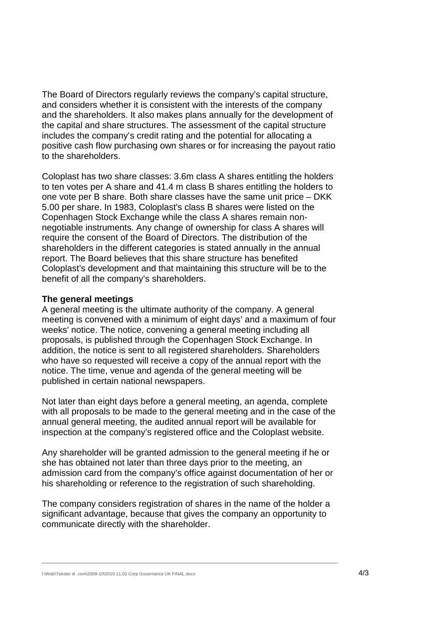The Board of Directors regularly reviews the company's capital structure, and considers whether it is consistent with the interests of the company and the shareholders. It also makes plans annually for the development of the capital and share structures. The assessment of the capital structure includes the company's credit rating and the potential for allocating a positive cash flow purchasing own shares or for increasing the payout ratio to the shareholders.

Coloplast has two share classes: 3.6m class A shares entitling the holders to ten votes per A share and 41.4 m class B shares entitling the holders to one vote per B share. Both share classes have the same unit price – DKK 5.00 per share. In 1983, Coloplast's class B shares were listed on the Copenhagen Stock Exchange while the class A shares remain nonnegotiable instruments. Any change of ownership for class A shares will require the consent of the Board of Directors. The distribution of the shareholders in the different categories is stated annually in the annual report. The Board believes that this share structure has benefited Coloplast's development and that maintaining this structure will be to the benefit of all the company's shareholders.

#### **The general meetings**

A general meeting is the ultimate authority of the company. A general meeting is convened with a minimum of eight days' and a maximum of four weeks' notice. The notice, convening a general meeting including all proposals, is published through the Copenhagen Stock Exchange. In addition, the notice is sent to all registered shareholders. Shareholders who have so requested will receive a copy of the annual report with the notice. The time, venue and agenda of the general meeting will be published in certain national newspapers.

Not later than eight days before a general meeting, an agenda, complete with all proposals to be made to the general meeting and in the case of the annual general meeting, the audited annual report will be available for inspection at the company's registered office and the Coloplast website.

Any shareholder will be granted admission to the general meeting if he or she has obtained not later than three days prior to the meeting, an admission card from the company's office against documentation of her or his shareholding or reference to the registration of such shareholding.

The company considers registration of shares in the name of the holder a significant advantage, because that gives the company an opportunity to communicate directly with the shareholder.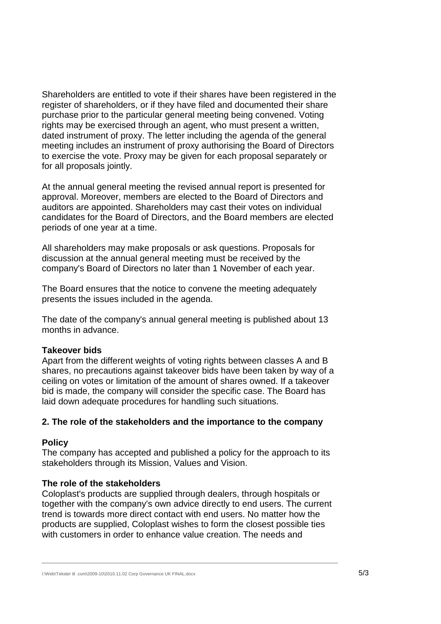Shareholders are entitled to vote if their shares have been registered in the register of shareholders, or if they have filed and documented their share purchase prior to the particular general meeting being convened. Voting rights may be exercised through an agent, who must present a written, dated instrument of proxy. The letter including the agenda of the general meeting includes an instrument of proxy authorising the Board of Directors to exercise the vote. Proxy may be given for each proposal separately or for all proposals jointly.

At the annual general meeting the revised annual report is presented for approval. Moreover, members are elected to the Board of Directors and auditors are appointed. Shareholders may cast their votes on individual candidates for the Board of Directors, and the Board members are elected periods of one year at a time.

All shareholders may make proposals or ask questions. Proposals for discussion at the annual general meeting must be received by the company's Board of Directors no later than 1 November of each year.

The Board ensures that the notice to convene the meeting adequately presents the issues included in the agenda.

The date of the company's annual general meeting is published about 13 months in advance.

### **Takeover bids**

Apart from the different weights of voting rights between classes A and B shares, no precautions against takeover bids have been taken by way of a ceiling on votes or limitation of the amount of shares owned. If a takeover bid is made, the company will consider the specific case. The Board has laid down adequate procedures for handling such situations.

### **2. The role of the stakeholders and the importance to the company**

#### **Policy**

The company has accepted and published a policy for the approach to its stakeholders through its Mission, Values and Vision.

### **The role of the stakeholders**

Coloplast's products are supplied through dealers, through hospitals or together with the company's own advice directly to end users. The current trend is towards more direct contact with end users. No matter how the products are supplied, Coloplast wishes to form the closest possible ties with customers in order to enhance value creation. The needs and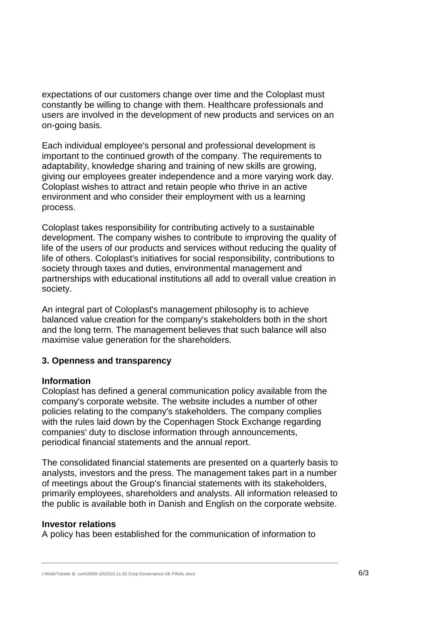expectations of our customers change over time and the Coloplast must constantly be willing to change with them. Healthcare professionals and users are involved in the development of new products and services on an on-going basis.

Each individual employee's personal and professional development is important to the continued growth of the company. The requirements to adaptability, knowledge sharing and training of new skills are growing, giving our employees greater independence and a more varying work day. Coloplast wishes to attract and retain people who thrive in an active environment and who consider their employment with us a learning process.

Coloplast takes responsibility for contributing actively to a sustainable development. The company wishes to contribute to improving the quality of life of the users of our products and services without reducing the quality of life of others. Coloplast's initiatives for social responsibility, contributions to society through taxes and duties, environmental management and partnerships with educational institutions all add to overall value creation in society.

An integral part of Coloplast's management philosophy is to achieve balanced value creation for the company's stakeholders both in the short and the long term. The management believes that such balance will also maximise value generation for the shareholders.

### **3. Openness and transparency**

#### **Information**

Coloplast has defined a general communication policy available from the company's corporate website. The website includes a number of other policies relating to the company's stakeholders. The company complies with the rules laid down by the Copenhagen Stock Exchange regarding companies' duty to disclose information through announcements, periodical financial statements and the annual report.

The consolidated financial statements are presented on a quarterly basis to analysts, investors and the press. The management takes part in a number of meetings about the Group's financial statements with its stakeholders, primarily employees, shareholders and analysts. All information released to the public is available both in Danish and English on the corporate website.

#### **Investor relations**

A policy has been established for the communication of information to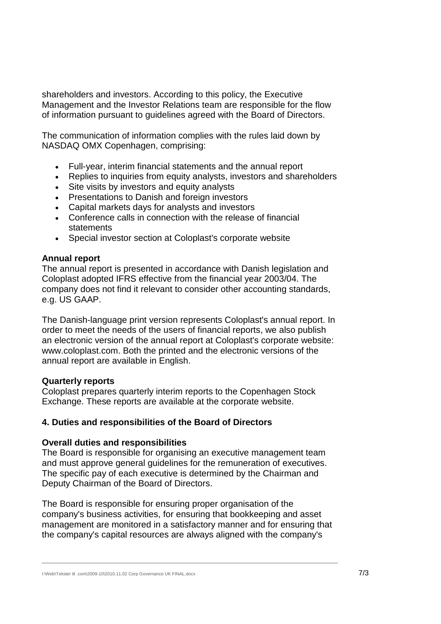shareholders and investors. According to this policy, the Executive Management and the Investor Relations team are responsible for the flow of information pursuant to guidelines agreed with the Board of Directors.

The communication of information complies with the rules laid down by NASDAQ OMX Copenhagen, comprising:

- Full-year, interim financial statements and the annual report
- Replies to inquiries from equity analysts, investors and shareholders
- Site visits by investors and equity analysts
- Presentations to Danish and foreign investors
- Capital markets days for analysts and investors
- Conference calls in connection with the release of financial statements
- Special investor section at Coloplast's corporate website

### **Annual report**

The annual report is presented in accordance with Danish legislation and Coloplast adopted IFRS effective from the financial year 2003/04. The company does not find it relevant to consider other accounting standards, e.g. US GAAP.

The Danish-language print version represents Coloplast's annual report. In order to meet the needs of the users of financial reports, we also publish an electronic version of the annual report at Coloplast's corporate website: www.coloplast.com. Both the printed and the electronic versions of the annual report are available in English.

#### **Quarterly reports**

Coloplast prepares quarterly interim reports to the Copenhagen Stock Exchange. These reports are available at the corporate website.

### **4. Duties and responsibilities of the Board of Directors**

### **Overall duties and responsibilities**

The Board is responsible for organising an executive management team and must approve general guidelines for the remuneration of executives. The specific pay of each executive is determined by the Chairman and Deputy Chairman of the Board of Directors.

The Board is responsible for ensuring proper organisation of the company's business activities, for ensuring that bookkeeping and asset management are monitored in a satisfactory manner and for ensuring that the company's capital resources are always aligned with the company's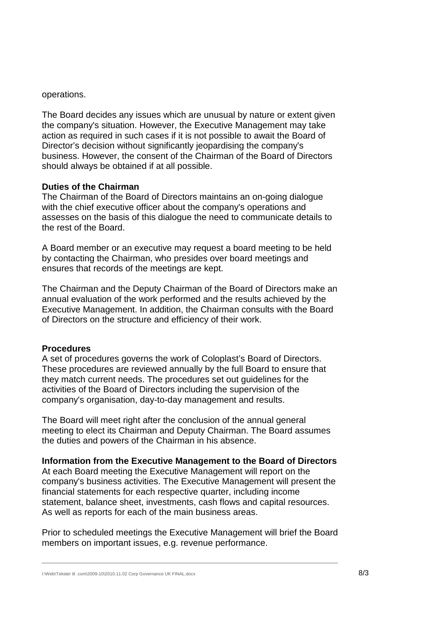operations.

The Board decides any issues which are unusual by nature or extent given the company's situation. However, the Executive Management may take action as required in such cases if it is not possible to await the Board of Director's decision without significantly jeopardising the company's business. However, the consent of the Chairman of the Board of Directors should always be obtained if at all possible.

#### **Duties of the Chairman**

The Chairman of the Board of Directors maintains an on-going dialogue with the chief executive officer about the company's operations and assesses on the basis of this dialogue the need to communicate details to the rest of the Board.

A Board member or an executive may request a board meeting to be held by contacting the Chairman, who presides over board meetings and ensures that records of the meetings are kept.

The Chairman and the Deputy Chairman of the Board of Directors make an annual evaluation of the work performed and the results achieved by the Executive Management. In addition, the Chairman consults with the Board of Directors on the structure and efficiency of their work.

#### **Procedures**

A set of procedures governs the work of Coloplast's Board of Directors. These procedures are reviewed annually by the full Board to ensure that they match current needs. The procedures set out guidelines for the activities of the Board of Directors including the supervision of the company's organisation, day-to-day management and results.

The Board will meet right after the conclusion of the annual general meeting to elect its Chairman and Deputy Chairman. The Board assumes the duties and powers of the Chairman in his absence.

#### **Information from the Executive Management to the Board of Directors**

At each Board meeting the Executive Management will report on the company's business activities. The Executive Management will present the financial statements for each respective quarter, including income statement, balance sheet, investments, cash flows and capital resources. As well as reports for each of the main business areas.

Prior to scheduled meetings the Executive Management will brief the Board members on important issues, e.g. revenue performance.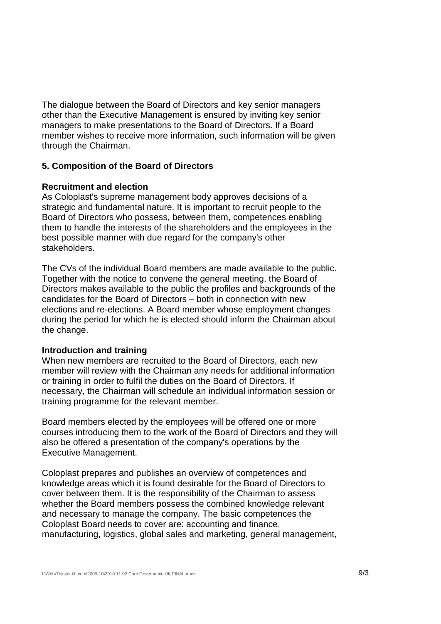The dialogue between the Board of Directors and key senior managers other than the Executive Management is ensured by inviting key senior managers to make presentations to the Board of Directors. If a Board member wishes to receive more information, such information will be given through the Chairman.

### **5. Composition of the Board of Directors**

#### **Recruitment and election**

As Coloplast's supreme management body approves decisions of a strategic and fundamental nature. It is important to recruit people to the Board of Directors who possess, between them, competences enabling them to handle the interests of the shareholders and the employees in the best possible manner with due regard for the company's other stakeholders.

The CVs of the individual Board members are made available to the public. Together with the notice to convene the general meeting, the Board of Directors makes available to the public the profiles and backgrounds of the candidates for the Board of Directors – both in connection with new elections and re-elections. A Board member whose employment changes during the period for which he is elected should inform the Chairman about the change.

### **Introduction and training**

When new members are recruited to the Board of Directors, each new member will review with the Chairman any needs for additional information or training in order to fulfil the duties on the Board of Directors. If necessary, the Chairman will schedule an individual information session or training programme for the relevant member.

Board members elected by the employees will be offered one or more courses introducing them to the work of the Board of Directors and they will also be offered a presentation of the company's operations by the Executive Management.

Coloplast prepares and publishes an overview of competences and knowledge areas which it is found desirable for the Board of Directors to cover between them. It is the responsibility of the Chairman to assess whether the Board members possess the combined knowledge relevant and necessary to manage the company. The basic competences the Coloplast Board needs to cover are: accounting and finance, manufacturing, logistics, global sales and marketing, general management,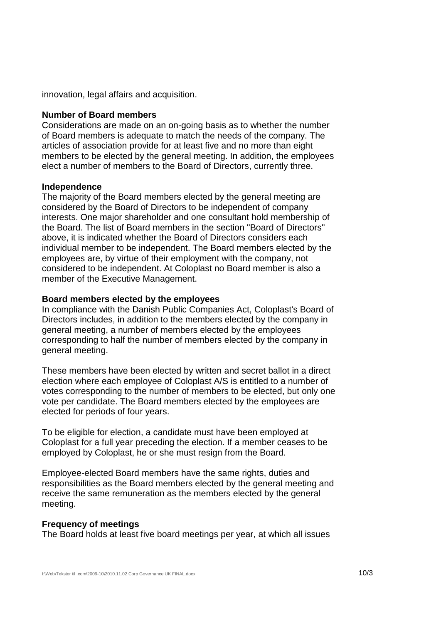innovation, legal affairs and acquisition.

#### **Number of Board members**

Considerations are made on an on-going basis as to whether the number of Board members is adequate to match the needs of the company. The articles of association provide for at least five and no more than eight members to be elected by the general meeting. In addition, the employees elect a number of members to the Board of Directors, currently three.

#### **Independence**

The majority of the Board members elected by the general meeting are considered by the Board of Directors to be independent of company interests. One major shareholder and one consultant hold membership of the Board. The list of Board members in the section "Board of Directors" above, it is indicated whether the Board of Directors considers each individual member to be independent. The Board members elected by the employees are, by virtue of their employment with the company, not considered to be independent. At Coloplast no Board member is also a member of the Executive Management.

#### **Board members elected by the employees**

In compliance with the Danish Public Companies Act, Coloplast's Board of Directors includes, in addition to the members elected by the company in general meeting, a number of members elected by the employees corresponding to half the number of members elected by the company in general meeting.

These members have been elected by written and secret ballot in a direct election where each employee of Coloplast A/S is entitled to a number of votes corresponding to the number of members to be elected, but only one vote per candidate. The Board members elected by the employees are elected for periods of four years.

To be eligible for election, a candidate must have been employed at Coloplast for a full year preceding the election. If a member ceases to be employed by Coloplast, he or she must resign from the Board.

Employee-elected Board members have the same rights, duties and responsibilities as the Board members elected by the general meeting and receive the same remuneration as the members elected by the general meeting.

#### **Frequency of meetings**

The Board holds at least five board meetings per year, at which all issues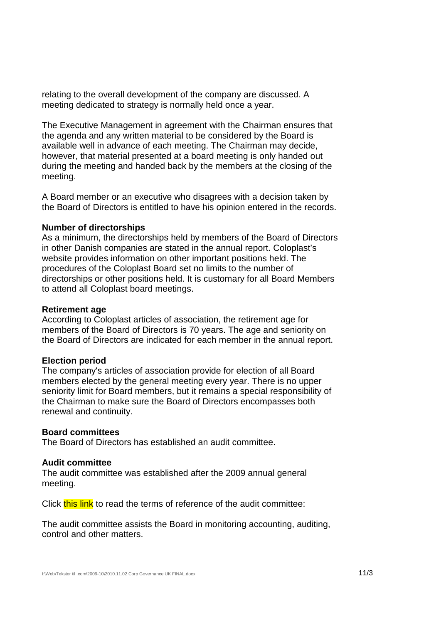relating to the overall development of the company are discussed. A meeting dedicated to strategy is normally held once a year.

The Executive Management in agreement with the Chairman ensures that the agenda and any written material to be considered by the Board is available well in advance of each meeting. The Chairman may decide, however, that material presented at a board meeting is only handed out during the meeting and handed back by the members at the closing of the meeting.

A Board member or an executive who disagrees with a decision taken by the Board of Directors is entitled to have his opinion entered in the records.

#### **Number of directorships**

As a minimum, the directorships held by members of the Board of Directors in other Danish companies are stated in the annual report. Coloplast's website provides information on other important positions held. The procedures of the Coloplast Board set no limits to the number of directorships or other positions held. It is customary for all Board Members to attend all Coloplast board meetings.

#### **Retirement age**

According to Coloplast articles of association, the retirement age for members of the Board of Directors is 70 years. The age and seniority on the Board of Directors are indicated for each member in the annual report.

### **Election period**

The company's articles of association provide for election of all Board members elected by the general meeting every year. There is no upper seniority limit for Board members, but it remains a special responsibility of the Chairman to make sure the Board of Directors encompasses both renewal and continuity.

### **Board committees**

The Board of Directors has established an audit committee.

#### **Audit committee**

The audit committee was established after the 2009 annual general meeting.

Click this link to read the terms of reference of the audit committee:

The audit committee assists the Board in monitoring accounting, auditing, control and other matters.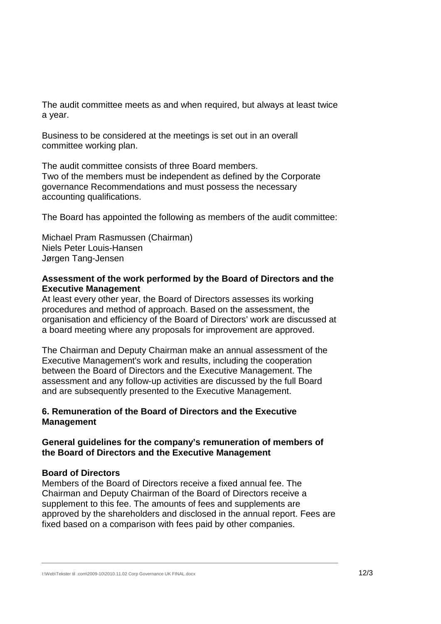The audit committee meets as and when required, but always at least twice a year.

Business to be considered at the meetings is set out in an overall committee working plan.

The audit committee consists of three Board members. Two of the members must be independent as defined by the Corporate governance Recommendations and must possess the necessary accounting qualifications.

The Board has appointed the following as members of the audit committee:

Michael Pram Rasmussen (Chairman) Niels Peter Louis-Hansen Jørgen Tang-Jensen

### **Assessment of the work performed by the Board of Directors and the Executive Management**

At least every other year, the Board of Directors assesses its working procedures and method of approach. Based on the assessment, the organisation and efficiency of the Board of Directors' work are discussed at a board meeting where any proposals for improvement are approved.

The Chairman and Deputy Chairman make an annual assessment of the Executive Management's work and results, including the cooperation between the Board of Directors and the Executive Management. The assessment and any follow-up activities are discussed by the full Board and are subsequently presented to the Executive Management.

### **6. Remuneration of the Board of Directors and the Executive Management**

### **General guidelines for the company's remuneration of members of the Board of Directors and the Executive Management**

### **Board of Directors**

Members of the Board of Directors receive a fixed annual fee. The Chairman and Deputy Chairman of the Board of Directors receive a supplement to this fee. The amounts of fees and supplements are approved by the shareholders and disclosed in the annual report. Fees are fixed based on a comparison with fees paid by other companies.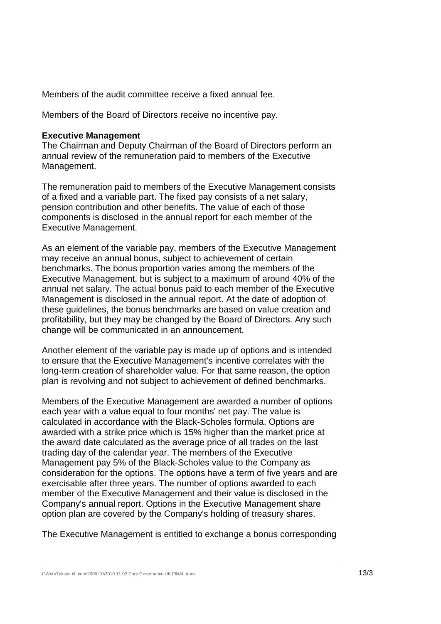Members of the audit committee receive a fixed annual fee.

Members of the Board of Directors receive no incentive pay.

#### **Executive Management**

The Chairman and Deputy Chairman of the Board of Directors perform an annual review of the remuneration paid to members of the Executive Management.

The remuneration paid to members of the Executive Management consists of a fixed and a variable part. The fixed pay consists of a net salary, pension contribution and other benefits. The value of each of those components is disclosed in the annual report for each member of the Executive Management.

As an element of the variable pay, members of the Executive Management may receive an annual bonus, subject to achievement of certain benchmarks. The bonus proportion varies among the members of the Executive Management, but is subject to a maximum of around 40% of the annual net salary. The actual bonus paid to each member of the Executive Management is disclosed in the annual report. At the date of adoption of these guidelines, the bonus benchmarks are based on value creation and profitability, but they may be changed by the Board of Directors. Any such change will be communicated in an announcement.

Another element of the variable pay is made up of options and is intended to ensure that the Executive Management's incentive correlates with the long-term creation of shareholder value. For that same reason, the option plan is revolving and not subject to achievement of defined benchmarks.

Members of the Executive Management are awarded a number of options each year with a value equal to four months' net pay. The value is calculated in accordance with the Black-Scholes formula. Options are awarded with a strike price which is 15% higher than the market price at the award date calculated as the average price of all trades on the last trading day of the calendar year. The members of the Executive Management pay 5% of the Black-Scholes value to the Company as consideration for the options. The options have a term of five years and are exercisable after three years. The number of options awarded to each member of the Executive Management and their value is disclosed in the Company's annual report. Options in the Executive Management share option plan are covered by the Company's holding of treasury shares.

The Executive Management is entitled to exchange a bonus corresponding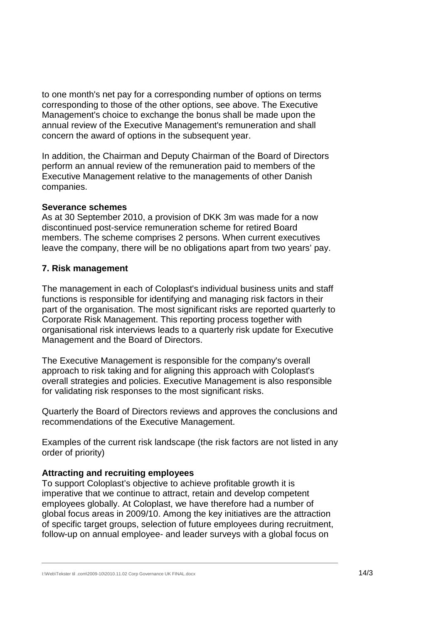to one month's net pay for a corresponding number of options on terms corresponding to those of the other options, see above. The Executive Management's choice to exchange the bonus shall be made upon the annual review of the Executive Management's remuneration and shall concern the award of options in the subsequent year.

In addition, the Chairman and Deputy Chairman of the Board of Directors perform an annual review of the remuneration paid to members of the Executive Management relative to the managements of other Danish companies.

#### **Severance schemes**

As at 30 September 2010, a provision of DKK 3m was made for a now discontinued post-service remuneration scheme for retired Board members. The scheme comprises 2 persons. When current executives leave the company, there will be no obligations apart from two years' pay.

### **7. Risk management**

The management in each of Coloplast's individual business units and staff functions is responsible for identifying and managing risk factors in their part of the organisation. The most significant risks are reported quarterly to Corporate Risk Management. This reporting process together with organisational risk interviews leads to a quarterly risk update for Executive Management and the Board of Directors.

The Executive Management is responsible for the company's overall approach to risk taking and for aligning this approach with Coloplast's overall strategies and policies. Executive Management is also responsible for validating risk responses to the most significant risks.

Quarterly the Board of Directors reviews and approves the conclusions and recommendations of the Executive Management.

Examples of the current risk landscape (the risk factors are not listed in any order of priority)

### **Attracting and recruiting employees**

To support Coloplast's objective to achieve profitable growth it is imperative that we continue to attract, retain and develop competent employees globally. At Coloplast, we have therefore had a number of global focus areas in 2009/10. Among the key initiatives are the attraction of specific target groups, selection of future employees during recruitment, follow-up on annual employee- and leader surveys with a global focus on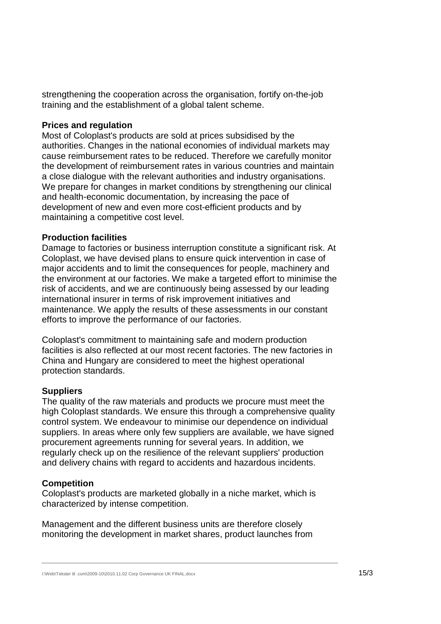strengthening the cooperation across the organisation, fortify on-the-job training and the establishment of a global talent scheme.

#### **Prices and regulation**

Most of Coloplast's products are sold at prices subsidised by the authorities. Changes in the national economies of individual markets may cause reimbursement rates to be reduced. Therefore we carefully monitor the development of reimbursement rates in various countries and maintain a close dialogue with the relevant authorities and industry organisations. We prepare for changes in market conditions by strengthening our clinical and health-economic documentation, by increasing the pace of development of new and even more cost-efficient products and by maintaining a competitive cost level.

#### **Production facilities**

Damage to factories or business interruption constitute a significant risk. At Coloplast, we have devised plans to ensure quick intervention in case of major accidents and to limit the consequences for people, machinery and the environment at our factories. We make a targeted effort to minimise the risk of accidents, and we are continuously being assessed by our leading international insurer in terms of risk improvement initiatives and maintenance. We apply the results of these assessments in our constant efforts to improve the performance of our factories.

Coloplast's commitment to maintaining safe and modern production facilities is also reflected at our most recent factories. The new factories in China and Hungary are considered to meet the highest operational protection standards.

### **Suppliers**

The quality of the raw materials and products we procure must meet the high Coloplast standards. We ensure this through a comprehensive quality control system. We endeavour to minimise our dependence on individual suppliers. In areas where only few suppliers are available, we have signed procurement agreements running for several years. In addition, we regularly check up on the resilience of the relevant suppliers' production and delivery chains with regard to accidents and hazardous incidents.

### **Competition**

Coloplast's products are marketed globally in a niche market, which is characterized by intense competition.

Management and the different business units are therefore closely monitoring the development in market shares, product launches from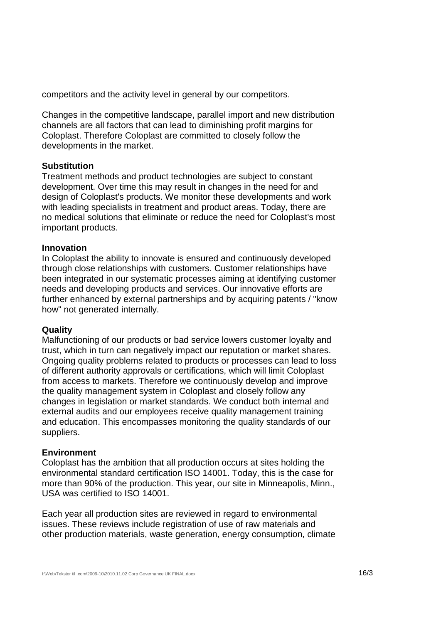competitors and the activity level in general by our competitors.

Changes in the competitive landscape, parallel import and new distribution channels are all factors that can lead to diminishing profit margins for Coloplast. Therefore Coloplast are committed to closely follow the developments in the market.

### **Substitution**

Treatment methods and product technologies are subject to constant development. Over time this may result in changes in the need for and design of Coloplast's products. We monitor these developments and work with leading specialists in treatment and product areas. Today, there are no medical solutions that eliminate or reduce the need for Coloplast's most important products.

#### **Innovation**

In Coloplast the ability to innovate is ensured and continuously developed through close relationships with customers. Customer relationships have been integrated in our systematic processes aiming at identifying customer needs and developing products and services. Our innovative efforts are further enhanced by external partnerships and by acquiring patents / "know how" not generated internally.

### **Quality**

Malfunctioning of our products or bad service lowers customer loyalty and trust, which in turn can negatively impact our reputation or market shares. Ongoing quality problems related to products or processes can lead to loss of different authority approvals or certifications, which will limit Coloplast from access to markets. Therefore we continuously develop and improve the quality management system in Coloplast and closely follow any changes in legislation or market standards. We conduct both internal and external audits and our employees receive quality management training and education. This encompasses monitoring the quality standards of our suppliers.

#### **Environment**

Coloplast has the ambition that all production occurs at sites holding the environmental standard certification ISO 14001. Today, this is the case for more than 90% of the production. This year, our site in Minneapolis, Minn., USA was certified to ISO 14001.

Each year all production sites are reviewed in regard to environmental issues. These reviews include registration of use of raw materials and other production materials, waste generation, energy consumption, climate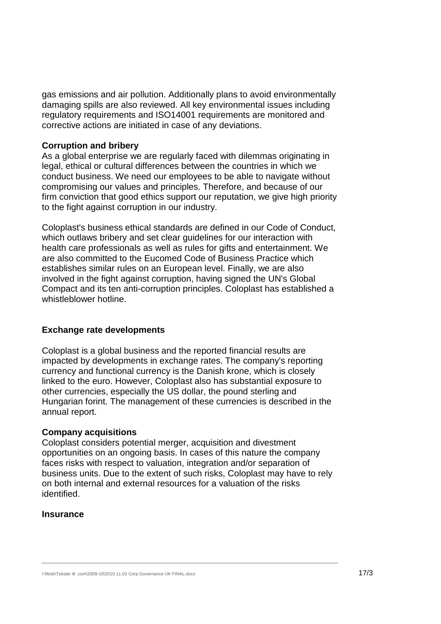gas emissions and air pollution. Additionally plans to avoid environmentally damaging spills are also reviewed. All key environmental issues including regulatory requirements and ISO14001 requirements are monitored and corrective actions are initiated in case of any deviations.

#### **Corruption and bribery**

As a global enterprise we are regularly faced with dilemmas originating in legal, ethical or cultural differences between the countries in which we conduct business. We need our employees to be able to navigate without compromising our values and principles. Therefore, and because of our firm conviction that good ethics support our reputation, we give high priority to the fight against corruption in our industry.

Coloplast's business ethical standards are defined in our Code of Conduct, which outlaws bribery and set clear guidelines for our interaction with health care professionals as well as rules for gifts and entertainment. We are also committed to the Eucomed Code of Business Practice which establishes similar rules on an European level. Finally, we are also involved in the fight against corruption, having signed the UN's Global Compact and its ten anti-corruption principles. Coloplast has established a whistleblower hotline.

### **Exchange rate developments**

Coloplast is a global business and the reported financial results are impacted by developments in exchange rates. The company's reporting currency and functional currency is the Danish krone, which is closely linked to the euro. However, Coloplast also has substantial exposure to other currencies, especially the US dollar, the pound sterling and Hungarian forint. The management of these currencies is described in the annual report.

#### **Company acquisitions**

Coloplast considers potential merger, acquisition and divestment opportunities on an ongoing basis. In cases of this nature the company faces risks with respect to valuation, integration and/or separation of business units. Due to the extent of such risks, Coloplast may have to rely on both internal and external resources for a valuation of the risks identified.

#### **Insurance**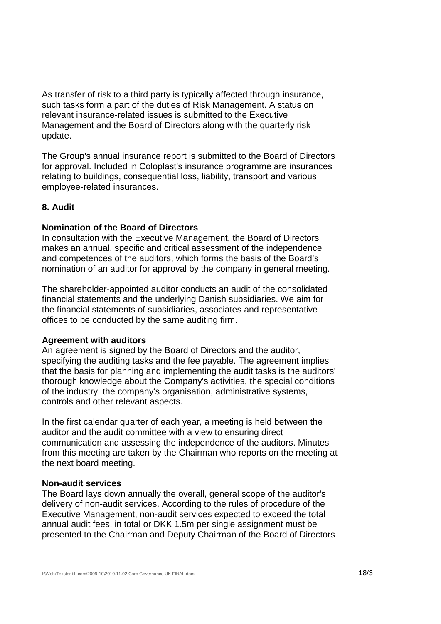As transfer of risk to a third party is typically affected through insurance, such tasks form a part of the duties of Risk Management. A status on relevant insurance-related issues is submitted to the Executive Management and the Board of Directors along with the quarterly risk update.

The Group's annual insurance report is submitted to the Board of Directors for approval. Included in Coloplast's insurance programme are insurances relating to buildings, consequential loss, liability, transport and various employee-related insurances.

### **8. Audit**

#### **Nomination of the Board of Directors**

In consultation with the Executive Management, the Board of Directors makes an annual, specific and critical assessment of the independence and competences of the auditors, which forms the basis of the Board's nomination of an auditor for approval by the company in general meeting.

The shareholder-appointed auditor conducts an audit of the consolidated financial statements and the underlying Danish subsidiaries. We aim for the financial statements of subsidiaries, associates and representative offices to be conducted by the same auditing firm.

#### **Agreement with auditors**

An agreement is signed by the Board of Directors and the auditor, specifying the auditing tasks and the fee payable. The agreement implies that the basis for planning and implementing the audit tasks is the auditors' thorough knowledge about the Company's activities, the special conditions of the industry, the company's organisation, administrative systems, controls and other relevant aspects.

In the first calendar quarter of each year, a meeting is held between the auditor and the audit committee with a view to ensuring direct communication and assessing the independence of the auditors. Minutes from this meeting are taken by the Chairman who reports on the meeting at the next board meeting.

#### **Non-audit services**

The Board lays down annually the overall, general scope of the auditor's delivery of non-audit services. According to the rules of procedure of the Executive Management, non-audit services expected to exceed the total annual audit fees, in total or DKK 1.5m per single assignment must be presented to the Chairman and Deputy Chairman of the Board of Directors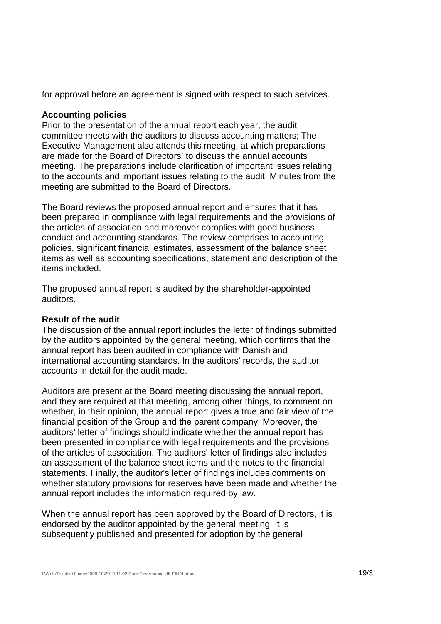for approval before an agreement is signed with respect to such services.

### **Accounting policies**

Prior to the presentation of the annual report each year, the audit committee meets with the auditors to discuss accounting matters; The Executive Management also attends this meeting, at which preparations are made for the Board of Directors' to discuss the annual accounts meeting. The preparations include clarification of important issues relating to the accounts and important issues relating to the audit. Minutes from the meeting are submitted to the Board of Directors.

The Board reviews the proposed annual report and ensures that it has been prepared in compliance with legal requirements and the provisions of the articles of association and moreover complies with good business conduct and accounting standards. The review comprises to accounting policies, significant financial estimates, assessment of the balance sheet items as well as accounting specifications, statement and description of the items included.

The proposed annual report is audited by the shareholder-appointed auditors.

### **Result of the audit**

The discussion of the annual report includes the letter of findings submitted by the auditors appointed by the general meeting, which confirms that the annual report has been audited in compliance with Danish and international accounting standards. In the auditors' records, the auditor accounts in detail for the audit made.

Auditors are present at the Board meeting discussing the annual report, and they are required at that meeting, among other things, to comment on whether, in their opinion, the annual report gives a true and fair view of the financial position of the Group and the parent company. Moreover, the auditors' letter of findings should indicate whether the annual report has been presented in compliance with legal requirements and the provisions of the articles of association. The auditors' letter of findings also includes an assessment of the balance sheet items and the notes to the financial statements. Finally, the auditor's letter of findings includes comments on whether statutory provisions for reserves have been made and whether the annual report includes the information required by law.

When the annual report has been approved by the Board of Directors, it is endorsed by the auditor appointed by the general meeting. It is subsequently published and presented for adoption by the general